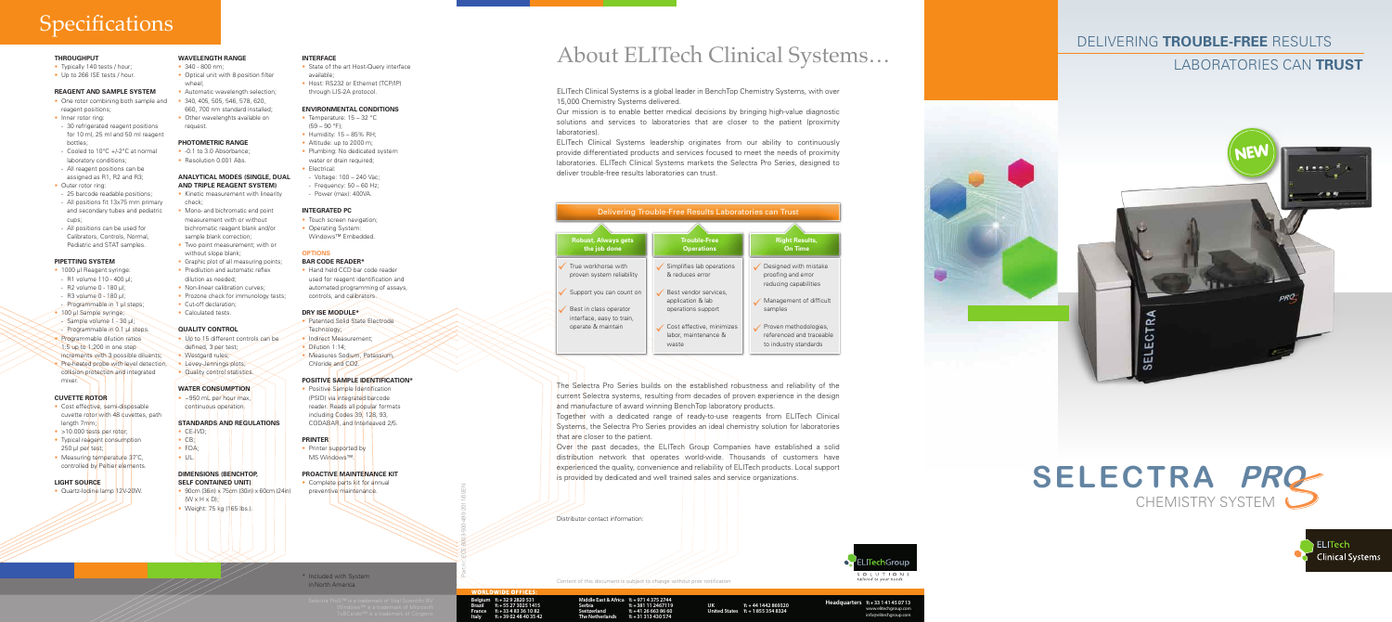

## laboratories can **trust**

# **Specifications**

### **THROUGHPUT**

- Typically 140 tests / hour:
- Up to 266 ISE tests / hour.

### **REAGENT AND SAMPLE SYSTEM**

- One rotor combining both sample and 340, 405, 505, 546, 578, 620, reagent positions;
- Inner rotor ring:
- 30 refrigerated reagent positions for 10 ml, 25 ml and 50 ml reagent bottles;
- Cooled to 10°C +/-2°C at normal laboratory conditions; - All reagent positions can be
- assigned as R1, R2 and R3;
- Outer rotor ring:
- 25 barcode readable positions;
- All positions fit 13x75 mm primary and secondary tubes and pediatric cups;
- All positions can be used for Calibrators, Controls, Normal, Pediatric and STAT samples.

**WAVELENGTH RANGE**  $\cdot$  340 - 800 nm;

### **Pipetting system**

**PHOTOMETRIC RANGE** • -0.1 to 3.0 Absorbance; • Resolution 0.001 Abs.

wheel;

• Mono- and bichromatic end point measurement with or without bichromatic reagent blank and/or sample blank correction;

### without slope blank; • Graphic plot of all measuring points; • Predilution and automatic reflex

• Prozone check for immunology tests;

- 1000 μl Reagent syringe:
- R1 volume 110 400 μl;
- R2 volume 0 180 μl;
- R3 volume 0 180 μl;
- Programmable in 1 μl steps;
- 100 μl Sample syringe; - Sample volume 1 - 30 μl; - Programmable in 0.1 μl steps.
- Programmable dilution ratios 1:5 up to 1:200 in one step increments with 3 possible diluents;
- Pre-heated probe with level detection, collision protection and integrated mixer.

dilution as needed; • Non-linear calibration curves;

• Cut-off declaration; • Calculated tests.

• Westgard rules; • Levey-Jennings plots; • Quality control statistics.

 $\cdot$  CE-IVD;  $\bullet$  CB; • FDA;  $\bullet$  UL.

**Water Consumption** • ~950 mL per hour max, continuous operation.

## **CUVETTE ROTOR**

- Cost effective, semi-disposable cuvette rotor with 48 cuvettes, path length 7mm;
- >10.000 tests per rotor;
- Typical reagent consumption 250 μl per test;
- Measuring temperature 37°C, controlled by Peltier elements.
- State of the art Host-Query interface available;
- Host: RS232 or Ethernet (TCP/IP) through LIS-2A protocol.

- Temperature: 15 32 °C  $(59 - 90)$  °F);
	- Humidity: 15 85% RH;
	- Altitude: up to 2000 m: • Plumbing: No dedicated system
	- water or drain required:
	- Electrical:
	-
	-

### **LIGHT SOURCE**

• Quartz-Iodine lamp 12V-20W.

- Touch screen navigation;
- 
- Windows™ Embedded.

660, 700 nm standard installed; • Other wavelenghts available on

request.

• Positive Sample Identification (PSID) via integrated barcode reader. Reads all popular formats including Codes 39, 128, 93. CODABAR, and Interleaved 2/5.

**ANALYTICAL MODES (SINGLE, DUAL AND TRIPLE REAGENT SYSTEM)** • Kinetic measurement with linearity

check;

• Optical unit with 8 position filter

• Automatic wavelength selection;

The Selectra Pro Series builds on the established robustness and reliability of the current Selectra systems, resulting from decades of proven experience in the design and manufacture of award winning BenchTop laboratory products. Together with a dedicated range of ready-to-use reagents from ELITech Clinical Systems, the Selectra Pro Series provides an ideal chemistry solution for laboratories that are closer to the patient.

- **STANDARDS and regulations**
- **QUALITY CONTROL** • Up to 15 different controls can be defined, 3 per test;
	-

## • Dilution 1:14:

**DIMENSIONS (BenchTop, self Contained Unit)**

• Weight: 75 kg (165 lbs.).

 $(W \times H \times D)$ ;

 $\bullet$  90cm (36in) x 75cm (30in) x 60cm (24in)

• Two point measurement; with or **OPTIONS**

### **Interface**

### **ENVIRONMENTAL CONDITIONS**

T: + **33 1 41 45 07 13** www.elitechgroup.cor info@elitecharoup.com

# - Voltage: 100 – 240 Vac;  $-$  Frequency:  $50 - 60$  Hz; - Power (max): 400VA.

## **Integrated PC**

- Operating System:
- 

### **BAR CODE READER\***

• Hand held CCD bar code reader used for reagent identification and automated programming of assays, controls, and calibrators.

### **Dry ISE Module\***

- Patented Solid State Electrode
- Indirect Measurement:
- Chloride and CO2.

• Measures Sodium, Potassium,

- Technology;
	-

### **Positive sample identification\***

### **PRINTER**

• Printer supported by MS Windows™.

### **PROACTIVE MAINTENANCE KIT**

• Complete parts kit for annual preventive maintenance.

\* Included with System

in North America

ELITech Clinical Systems is a global leader in BenchTop Chemistry Systems, with over 15,000 Chemistry Systems delivered.

Our mission is to enable better medical decisions by bringing high-value diagnostic solutions and services to laboratories that are closer to the patient (proximity laboratories).

ELITech Clinical Systems leadership originates from our ability to continuously provide differentiated products and services focused to meet the needs of proximity laboratories. ELITech Clinical Systems markets the Selectra Pro Series, designed to deliver trouble-free results laboratories can trust.

Over the past decades, the ELITech Group Companies have established a solid distribution network that operates world-wide. Thousands of customers have experienced the quality, convenience and reliability of ELITech products. Local support is provided by dedicated and well trained sales and service organizations.



# About ELITech Clinical Systems…



Part nr: ECS 6003-500-490-2011/00EN

Distributor contact information:

### **Middle East & Africa** T: + **971 4 375 2744 Headquarters** T: <sup>+</sup> **32 9 2820 531 Serbia Switzerland The Netherlands** T: + **381 11 2467119** T: + **41 26 663 86 60** T: + **31 313 430 574**

T: + **44 1442 869320** T: + **1 855 354 8324 UK United States**

## CHEMISTRY system **SELECTRA PRO** S





T: + **55 27 3025 1415** T: + **33 4 83 36 10 82** T: + **39 02 48 40 35 42**

- 
- 

**Belgium Brazil France Italy**

Content of this document is subject to change without prior notification